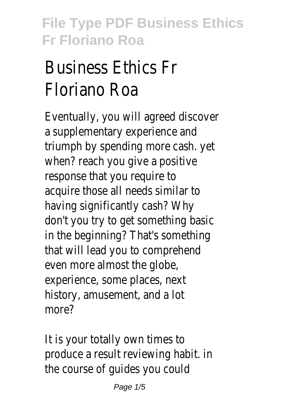## Business Ethics Fr Floriano Roa

Eventually, you will agreed discover a supplementary experience and triumph by spending more cash. yet when? reach you give a positive response that you require to acquire those all needs similar to having significantly cash? Why don't you try to get something basic in the beginning? That's something that will lead you to comprehend even more almost the globe, experience, some places, next history, amusement, and a lot more?

It is your totally own times to produce a result reviewing habit. in the course of guides you could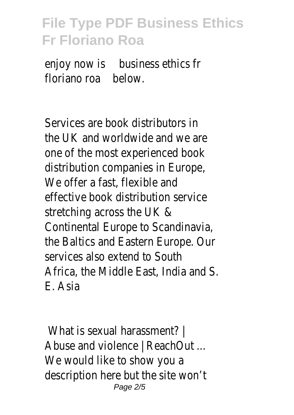enjoy now is business ethics fr floriano roabelow.

Services are book distributors in the UK and worldwide and we are one of the most experienced book distribution companies in Europe, We offer a fast, flexible and effective book distribution service stretching across the UK & Continental Europe to Scandinavia, the Baltics and Eastern Europe. Our services also extend to South Africa, the Middle East, India and S. E. Asia

What is sexual harassment? | Abuse and violence | ReachOut ... We would like to show you a description here but the site won't Page 2/5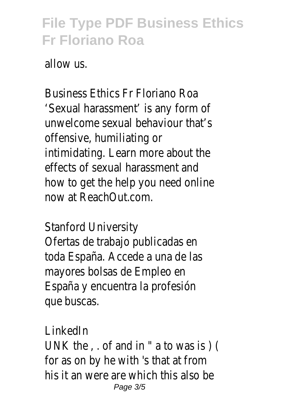allow us.

Business Ethics Fr Floriano Roa 'Sexual harassment' is any form of unwelcome sexual behaviour that's offensive, humiliating or intimidating. Learn more about the effects of sexual harassment and how to get the help you need online now at ReachOut.com.

Stanford University

Ofertas de trabajo publicadas en toda España. Accede a una de las mayores bolsas de Empleo en España y encuentra la profesión que buscas.

LinkedIn

UNK the , . of and in " a to was is ) ( for as on by he with 's that at from his it an were are which this also be Page 3/5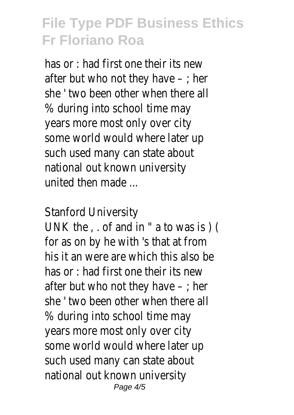has or : had first one their its new after but who not they have  $-$ ; her she ' two been other when there all % during into school time may years more most only over city some world would where later up such used many can state about national out known university united then made ...

Stanford University

UNK the , . of and in " a to was is ) ( for as on by he with 's that at from his it an were are which this also be has or : had first one their its new after but who not they have  $-$ ; her she ' two been other when there all % during into school time may years more most only over city some world would where later up such used many can state about national out known university Page 4/5